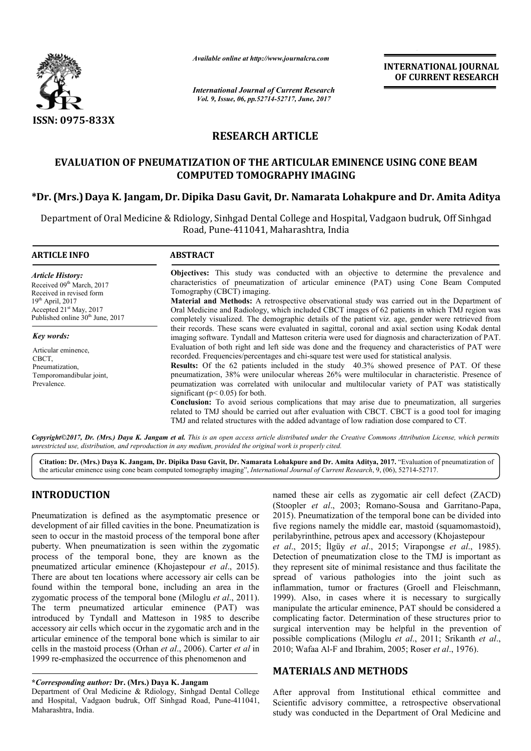

*Available online at http://www.journalcra.com*

*International Journal of Current Research Vol. 9, Issue, 06, pp.52714-52717, June, 2017*

**INTERNATIONAL JOURNAL OF CURRENT RESEARCH** 

# **RESEARCH ARTICLE**

## **EVALUATION OF PNEUMATIZATION OF THE ARTICULAR EMINENCE USING CONE BEAM COMPUTED TOMOGRAPHY IMAGING**

## **\*Dr. (Mrs.)Daya K. Jangam, Dr. Dipika Dasu Gavit, Dr. Namarata Lohakpure and Dr. Amita Aditya**

Department of Oral Medicine & Rdiology, Sinhgad Dental College and Hospital, Vadgaon budruk, Off Sinhgad Road, Pune-411041, Maharashtra, India

| <b>ARTICLE INFO</b>                                                                                                                                                                             | <b>ABSTRACT</b>                                                                                                                                                                                                                                                                                                                                                                                                                                                                                                                                     |  |  |  |
|-------------------------------------------------------------------------------------------------------------------------------------------------------------------------------------------------|-----------------------------------------------------------------------------------------------------------------------------------------------------------------------------------------------------------------------------------------------------------------------------------------------------------------------------------------------------------------------------------------------------------------------------------------------------------------------------------------------------------------------------------------------------|--|--|--|
| <b>Article History:</b><br>Received 09 <sup>th</sup> March, 2017<br>Received in revised form<br>$19th$ April, 2017<br>Accepted $21st$ May, 2017<br>Published online 30 <sup>th</sup> June, 2017 | <b>Objectives:</b> This study was conducted with an objective to determine the prevalence and<br>characteristics of pneumatization of articular eminence (PAT) using Cone Beam Computed<br>Tomography (CBCT) imaging.<br><b>Material and Methods:</b> A retrospective observational study was carried out in the Department of<br>Oral Medicine and Radiology, which included CBCT images of 62 patients in which TMJ region was<br>completely visualized. The demographic details of the patient viz. age, gender were retrieved from              |  |  |  |
| Key words:<br>Articular eminence,                                                                                                                                                               | their records. These scans were evaluated in sagittal, coronal and axial section using Kodak dental<br>imaging software. Tyndall and Matteson criteria were used for diagnosis and characterization of PAT.<br>Evaluation of both right and left side was done and the frequency and characteristics of PAT were<br>recorded. Frequencies/percentages and chi-square test were used for statistical analysis.                                                                                                                                       |  |  |  |
| CBCT.<br>Pneumatization,<br>Temporomandibular joint,<br>Prevalence.                                                                                                                             | Results: Of the 62 patients included in the study 40.3% showed presence of PAT. Of these<br>pneumatization, 38% were unilocular whereas 26% were multilocular in characteristic. Presence of<br>peumatization was correlated with unilocular and multilocular variety of PAT was statistically<br>significant ( $p < 0.05$ ) for both.<br><b>Conclusion:</b> To avoid serious complications that may arise due to pneumatization, all surgeries<br>related to TMJ should be carried out after evaluation with CBCT. CBCT is a good tool for imaging |  |  |  |
|                                                                                                                                                                                                 | TMJ and related structures with the added advantage of low radiation dose compared to CT.                                                                                                                                                                                                                                                                                                                                                                                                                                                           |  |  |  |

*Copyright©2017, Dr. (Mrs.) Daya K. Jangam et al. This is an open access article distributed under the Creative Commons Attribution License, which permits unrestricted use, distribution, and reproduction in any medium, provided the original work is properly cited.*

**Citation: Dr. (Mrs.) Daya K. Jangam, Dr. Dipika Dasu Gavit, Dr. Namarata Lohakpure and Dr. Amita Aditya, 2017.** "Evaluation of pneumatization of the articular eminence using cone beam computed tomography imaging", *International Journal of Current Research*, 9, (06), 52714-52717.

## **INTRODUCTION**

Pneumatization is defined as the asymptomatic presence or development of air filled cavities in the bone. Pneumatization is seen to occur in the mastoid process of the temporal bone after puberty. When pneumatization is seen within the zygomatic process of the temporal bone, they are known as the pneumatized articular eminence (Khojastepour *et al*., 2015). There are about ten locations where accessory air cells can be found within the temporal bone, including an area in the zygomatic process of the temporal bone (Miloglu *et al*., 2011). The term pneumatized articular eminence (PAT) was introduced by Tyndall and Matteson in 1985 to describe accessory air cells which occur in the zygomatic arch and in the articular eminence of the temporal bone which is similar to air cells in the mastoid process (Orhan *et al*., 2006). Carter *et al* in 1999 re-emphasized the occurrence of this phenomenon and

## **\****Corresponding author:* **Dr. (Mrs.) Daya K. Jangam**

Department of Oral Medicine & Rdiology, Sinhgad Dental College and Hospital, Vadgaon budruk, Off Sinhgad Road, Pune-411041, Maharashtra, India.

named these air cells as zygomatic air cell defect (ZACD) (Stoopler *et al*., 2003; Romano-Sousa and Garritano-Papa, 2015). Pneumatization of the temporal bone can be divided into five regions namely the middle ear, mastoid (squamomastoid), perilabyrinthine, petrous apex and accessory (Khojastepour *et al*., 2015; İlgüy *et al*., 2015; Virapongse *et al*., 1985). Detection of pneumatization close to the TMJ is important as they represent site of minimal resistance and thus facilitate the spread of various pathologies into the joint such as inflammation, tumor or fractures (Groell and Fleischmann, 1999). Also, in cases where it is necessary to surgically manipulate the articular eminence, PAT should be considered a complicating factor. Determination of these structures prior to surgical intervention may be helpful in the prevention of possible complications (Miloglu *et al*., 2011; Srikanth *et al*., 2010; Wafaa Al-F and Ibrahim, 2005; Roser *et al*., 1976).

## **MATERIALS AND METHODS**

After approval from Institutional ethical committee and Scientific advisory committee, a retrospective observational study was conducted in the Department of Oral Medicine and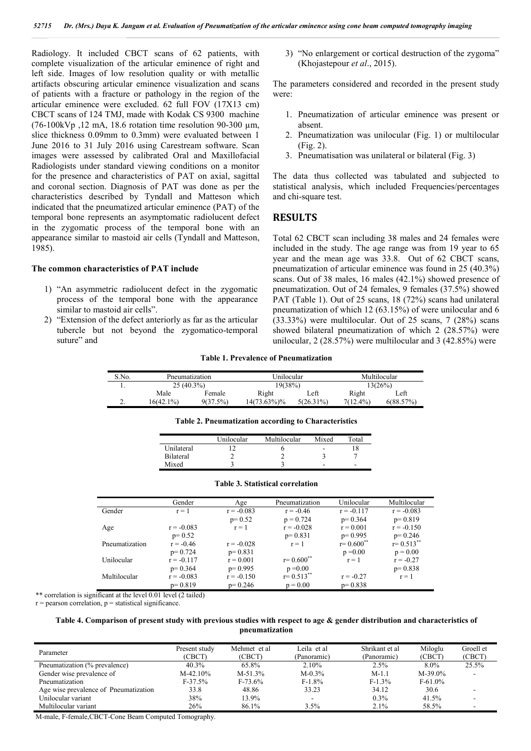Radiology. It included CBCT scans of 62 patients, with complete visualization of the articular eminence of right and left side. Images of low resolution quality or with metallic artifacts obscuring articular eminence visualization and scans of patients with a fracture or pathology in the region of the articular eminence were excluded. 62 full FOV (17X13 cm) CBCT scans of 124 TMJ, made with Kodak CS 9300 machine  $(76-100$ kVp  $.12$  mA, 18.6 rotation time resolution 90-300 um, slice thickness 0.09mm to 0.3mm) were evaluated between 1 June 2016 to 31 July 2016 using Carestream software. Scan images were assessed by calibrated Oral and Maxillofacial Radiologists under standard viewing conditions on a monitor for the presence and characteristics of PAT on axial, sagittal and coronal section. Diagnosis of PAT was done as per the characteristics described by Tyndall and Matteson which indicated that the pneumatized articular eminence (PAT) of the temporal bone represents an asymptomatic radiolucent defect in the zygomatic process of the temporal bone with an appearance similar to mastoid air cells (Tyndall and Matteson, 1985).

### **The common characteristics of PAT include**

- 1) "An asymmetric radiolucent defect in the zygomatic process of the temporal bone with the appearance similar to mastoid air cells".
- 2) "Extension of the defect anteriorly as far as the articular tubercle but not beyond the zygomatico-temporal suture" and

3) "No enlargement or cortical destruction of the zygoma" (Khojastepour *et al*., 2015).

The parameters considered and recorded in the present study were:

- 1. Pneumatization of articular eminence was present or absent.
- 2. Pneumatization was unilocular (Fig. 1) or multilocular (Fig. 2).
- 3. Pneumatisation was unilateral or bilateral (Fig. 3)

The data thus collected was tabulated and subjected to statistical analysis, which included Frequencies/percentages and chi-square test.

### **RESULTS**

Total 62 CBCT scan including 38 males and 24 females were included in the study. The age range was from 19 year to 65 year and the mean age was 33.8. Out of 62 CBCT scans, pneumatization of articular eminence was found in 25 (40.3%) scans. Out of 38 males, 16 males (42.1%) showed presence of pneumatization. Out of 24 females, 9 females (37.5%) showed PAT (Table 1). Out of 25 scans, 18 (72%) scans had unilateral pneumatization of which 12 (63.15%) of were unilocular and 6 (33.33%) were multilocular. Out of 25 scans, 7 (28%) scans showed bilateral pneumatization of which 2 (28.57%) were unilocular, 2 (28.57%) were multilocular and 3 (42.85%) were

#### **Table 1. Prevalence of Pneumatization**

| S.No. | Pneumatization |          | Unilocular  |              | Multilocular |           |
|-------|----------------|----------|-------------|--------------|--------------|-----------|
|       | $25(40.3\%)$   |          | 19(38%)     |              | 13(26%)      |           |
|       | Male           | Female   | Right       | Left         | Right        | ∟eft      |
| ٠.    | 16(42.1%)      | 9(37.5%) | 14(73.63%)% | $5(26.31\%)$ | $7(12.4\%)$  | 6(88.57%) |

|                  | Unilocular | Multilocular | Mixed | Total |
|------------------|------------|--------------|-------|-------|
| Unilateral       |            |              | ۰     |       |
| <b>Bilateral</b> |            |              |       |       |
| Mixed            |            |              | -     | ۰     |

**Table 2. Pneumatization according to Characteristics**

|                | Gender       | Age          | Pneumatization            | Unilocular                | Multilocular   |
|----------------|--------------|--------------|---------------------------|---------------------------|----------------|
| Gender         | $r = 1$      | $r = -0.083$ | $r = -0.46$               | $r = -0.117$              | $r = -0.083$   |
|                |              | $p=0.52$     | $p = 0.724$               | $p = 0.364$               | $p=0.819$      |
| Age            | $r = -0.083$ | $r = 1$      | $r = -0.028$              | $r = 0.001$               | $r = -0.150$   |
|                | $p=0.52$     |              | $p=0.831$                 | $p=0.995$                 | $p=0.246$      |
| Pneumatization | $r = -0.46$  | $r = -0.028$ | $r = 1$                   | $r = 0.600$ <sup>**</sup> | $r = 0.513$ ** |
|                | $p=0.724$    | $p=0.831$    |                           | $p = 0.00$                | $p = 0.00$     |
| Unilocular     | $r = -0.117$ | $r = 0.001$  | $r = 0.600$ <sup>**</sup> | $r = 1$                   | $r = -0.27$    |
|                | $p = 0.364$  | $p=0.995$    | $p = 0.00$                |                           | $p=0.838$      |
| Multilocular   | $r = -0.083$ | $r = -0.150$ | $r = 0.513$ **            | $r = -0.27$               | $r = 1$        |
|                | $p=0.819$    | $p=0.246$    | $p = 0.00$                | $p=0.838$                 |                |

### **Table 3. Statistical correlation**

\*\* correlation is significant at the level 0.01 level (2 tailed)

 $r =$  pearson correlation,  $p =$  statistical significance.

### **Table 4. Comparison of present study with previous studies with respect to age & gender distribution and characteristics of pneumatization**

| Parameter                             | Present study<br>(CBCT) | Mehmet et al<br>(CBCT) | Leila et al<br>(Panoramic) | Shrikant et al<br>(Panoramic) | Miloglu<br>(CBCT) | Groell et<br>(CBCT) |
|---------------------------------------|-------------------------|------------------------|----------------------------|-------------------------------|-------------------|---------------------|
| Pneumatization (% prevalence)         | $40.3\%$                | 65.8%                  | 2.10%                      | 2.5%                          | $8.0\%$           | 25.5%               |
| Gender wise prevalence of             | $M-42.10%$              | $M-51.3%$              | $M - 0.3\%$                | $M-1.1$                       | $M-39.0\%$        |                     |
| Pneumatization                        | $F-37.5%$               | $F-73.6%$              | $F-1.8%$                   | $F-1.3%$                      | $F-61.0%$         |                     |
| Age wise prevalence of Pneumatization | 33.8                    | 48.86                  | 33.23                      | 34.12                         | 30.6              |                     |
| Unilocular variant                    | 38%                     | 13.9%                  |                            | $0.3\%$                       | 41.5%             |                     |
| Multilocular variant                  | 26%                     | 86.1%                  | 3.5%                       | $2.1\%$                       | 58.5%             |                     |

M-male, F-female,CBCT-Cone Beam Computed Tomography.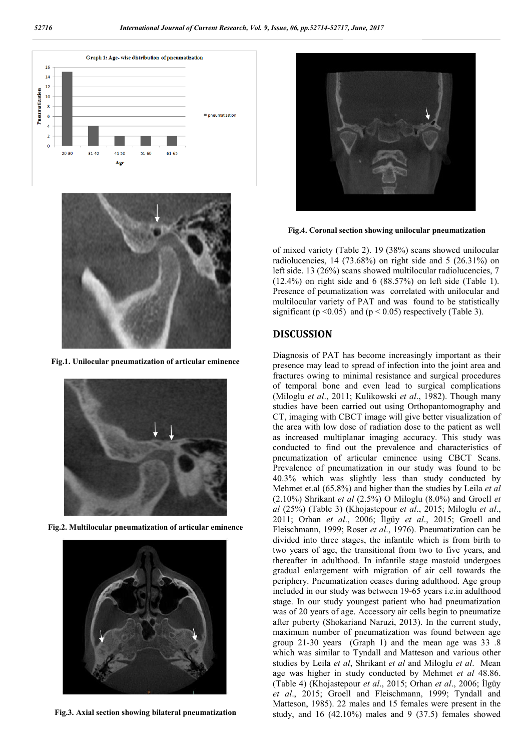



**Fig.1. Unilocular pneumatization of articular eminence**



**Fig.2. Multilocular pneumatization of articular eminence**



**Fig.3. Axial section showing bilateral pneumatization**



**Fig.4. Coronal section showing unilocular pneumatization**

of mixed variety (Table 2). 19 (38%) scans showed unilocular radiolucencies,  $14$  (73.68%) on right side and 5 (26.31%) on left side. 13 (26%) scans showed multilocular radiolucencies, 7 (12.4%) on right side and 6 (88.57%) on left side (Table 1). Presence of peumatization was correlated with unilocular and multilocular variety of PAT and was found to be statistically significant ( $p \le 0.05$ ) and ( $p \le 0.05$ ) respectively (Table 3).

### **DISCUSSION**

Diagnosis of PAT has become increasingly important as their presence may lead to spread of infection into the joint area and fractures owing to minimal resistance and surgical procedures of temporal bone and even lead to surgical complications (Miloglu *et al*., 2011; Kulikowski *et al*., 1982). Though many studies have been carried out using Orthopantomography and CT, imaging with CBCT image will give better visualization of the area with low dose of radiation dose to the patient as well as increased multiplanar imaging accuracy. This study was conducted to find out the prevalence and characteristics of pneumatization of articular eminence using CBCT Scans. Prevalence of pneumatization in our study was found to be 40.3% which was slightly less than study conducted by Mehmet et.al (65.8%) and higher than the studies by Leila *et al* (2.10%) Shrikant *et al* (2.5%) O Miloglu (8.0%) and Groell *et al* (25%) (Table 3) (Khojastepour *et al*., 2015; Miloglu *et al*., 2011; Orhan *et al*., 2006; İlgüy *et al*., 2015; Groell and Fleischmann, 1999; Roser *et al*., 1976). Pneumatization can be divided into three stages, the infantile which is from birth to two years of age, the transitional from two to five years, and thereafter in adulthood. In infantile stage mastoid undergoes gradual enlargement with migration of air cell towards the periphery. Pneumatization ceases during adulthood. Age group included in our study was between 19-65 years i.e.in adulthood stage. In our study youngest patient who had pneumatization was of 20 years of age. Accessory air cells begin to pneumatize after puberty (Shokariand Naruzi, 2013). In the current study, maximum number of pneumatization was found between age group 21-30 years (Graph 1) and the mean age was 33 .8 which was similar to Tyndall and Matteson and various other studies by Leila *et al*, Shrikant *et al* and Miloglu *et al*. Mean age was higher in study conducted by Mehmet *et al* 48.86. (Table 4) (Khojastepour *et al*., 2015; Orhan *et al*., 2006; İlgüy *et al*., 2015; Groell and Fleischmann, 1999; Tyndall and Matteson, 1985). 22 males and 15 females were present in the study, and  $16$   $(42.10\%)$  males and  $9$   $(37.5)$  females showed